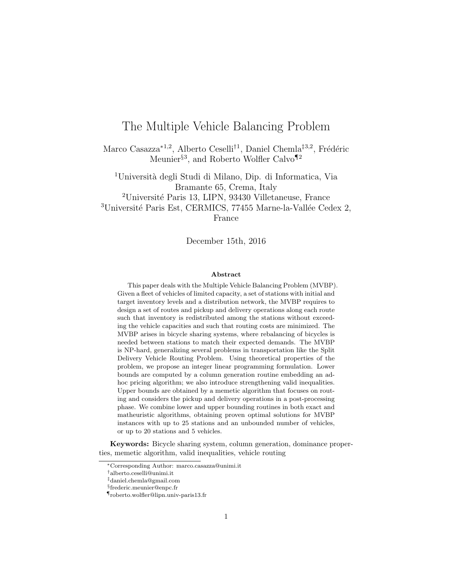# The Multiple Vehicle Balancing Problem

Marco Casazza<sup>\*1,2</sup>, Alberto Ceselli<sup>†1</sup>, Daniel Chemla<sup>‡3,2</sup>, Frédéric Meunier<sup>§3</sup>, and Roberto Wolfler Calvo<sup>¶2</sup>

<sup>1</sup>Università degli Studi di Milano, Dip. di Informatica, Via Bramante 65, Crema, Italy <sup>2</sup>Université Paris 13, LIPN, 93430 Villetaneuse, France  $3$ Université Paris Est, CERMICS, 77455 Marne-la-Vallée Cedex 2, France

December 15th, 2016

#### Abstract

This paper deals with the Multiple Vehicle Balancing Problem (MVBP). Given a fleet of vehicles of limited capacity, a set of stations with initial and target inventory levels and a distribution network, the MVBP requires to design a set of routes and pickup and delivery operations along each route such that inventory is redistributed among the stations without exceeding the vehicle capacities and such that routing costs are minimized. The MVBP arises in bicycle sharing systems, where rebalancing of bicycles is needed between stations to match their expected demands. The MVBP is NP-hard, generalizing several problems in transportation like the Split Delivery Vehicle Routing Problem. Using theoretical properties of the problem, we propose an integer linear programming formulation. Lower bounds are computed by a column generation routine embedding an adhoc pricing algorithm; we also introduce strengthening valid inequalities. Upper bounds are obtained by a memetic algorithm that focuses on routing and considers the pickup and delivery operations in a post-processing phase. We combine lower and upper bounding routines in both exact and matheuristic algorithms, obtaining proven optimal solutions for MVBP instances with up to 25 stations and an unbounded number of vehicles, or up to 20 stations and 5 vehicles.

Keywords: Bicycle sharing system, column generation, dominance properties, memetic algorithm, valid inequalities, vehicle routing

<sup>∗</sup>Corresponding Author: marco.casazza@unimi.it

<sup>†</sup>alberto.ceselli@unimi.it

<sup>‡</sup>daniel.chemla@gmail.com

<sup>§</sup> frederic.meunier@enpc.fr

<sup>¶</sup>roberto.wolfler@lipn.univ-paris13.fr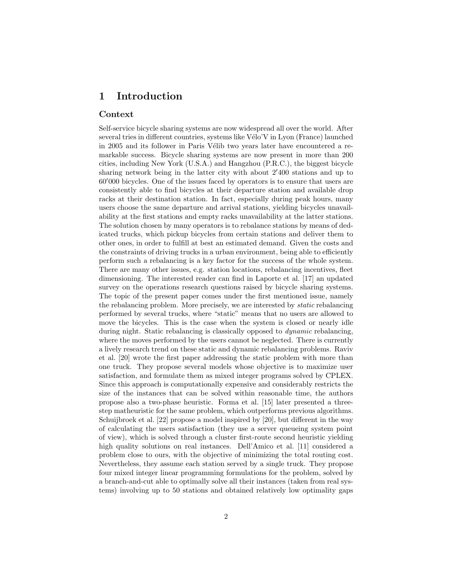### 1 Introduction

### Context

Self-service bicycle sharing systems are now widespread all over the world. After several tries in different countries, systems like Vélo'V in Lyon (France) launched in 2005 and its follower in Paris Vélib two years later have encountered a remarkable success. Bicycle sharing systems are now present in more than 200 cities, including New York (U.S.A.) and Hangzhou (P.R.C.), the biggest bicycle sharing network being in the latter city with about  $2'400$  stations and up to  $60'000$  bicycles. One of the issues faced by operators is to ensure that users are consistently able to find bicycles at their departure station and available drop racks at their destination station. In fact, especially during peak hours, many users choose the same departure and arrival stations, yielding bicycles unavailability at the first stations and empty racks unavailability at the latter stations. The solution chosen by many operators is to rebalance stations by means of dedicated trucks, which pickup bicycles from certain stations and deliver them to other ones, in order to fulfill at best an estimated demand. Given the costs and the constraints of driving trucks in a urban environment, being able to efficiently perform such a rebalancing is a key factor for the success of the whole system. There are many other issues, e.g. station locations, rebalancing incentives, fleet dimensioning. The interested reader can find in Laporte et al. [17] an updated survey on the operations research questions raised by bicycle sharing systems. The topic of the present paper comes under the first mentioned issue, namely the rebalancing problem. More precisely, we are interested by static rebalancing performed by several trucks, where "static" means that no users are allowed to move the bicycles. This is the case when the system is closed or nearly idle during night. Static rebalancing is classically opposed to dynamic rebalancing, where the moves performed by the users cannot be neglected. There is currently a lively research trend on these static and dynamic rebalancing problems. Raviv et al. [20] wrote the first paper addressing the static problem with more than one truck. They propose several models whose objective is to maximize user satisfaction, and formulate them as mixed integer programs solved by CPLEX. Since this approach is computationally expensive and considerably restricts the size of the instances that can be solved within reasonable time, the authors propose also a two-phase heuristic. Forma et al. [15] later presented a threestep matheuristic for the same problem, which outperforms previous algorithms. Schuijbroek et al. [22] propose a model inspired by [20], but different in the way of calculating the users satisfaction (they use a server queueing system point of view), which is solved through a cluster first-route second heuristic yielding high quality solutions on real instances. Dell'Amico et al. [11] considered a problem close to ours, with the objective of minimizing the total routing cost. Nevertheless, they assume each station served by a single truck. They propose four mixed integer linear programming formulations for the problem, solved by a branch-and-cut able to optimally solve all their instances (taken from real systems) involving up to 50 stations and obtained relatively low optimality gaps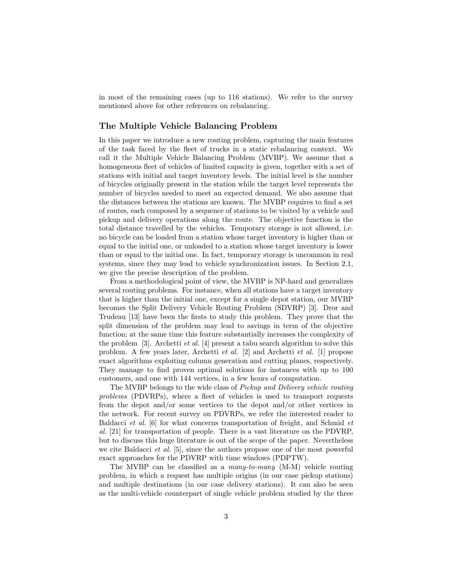in most of the remaining cases (up to 116 stations). We refer to the survey mentioned above for other references on rebalancing.

### The Multiple Vehicle Balancing Problem

In this paper we introduce a new routing problem, capturing the main features of the task faced by the fleet of trucks in a static rebalancing context. We call it the Multiple Vehicle Balancing Problem (MVBP). We assume that a homogeneous fleet of vehicles of limited capacity is given, together with a set of stations with initial and target inventory levels. The initial level is the number of bicycles originally present in the station while the target level represents the number of bicycles needed to meet an expected demand. We also assume that the distances between the stations are known. The MVBP requires to find a set of routes, each composed by a sequence of stations to be visited by a vehicle and pickup and delivery operations along the route. The objective function is the total distance travelled by the vehicles. Temporary storage is not allowed, i.e. no bicycle can be loaded from a station whose target inventory is higher than or equal to the initial one, or unloaded to a station whose target inventory is lower than or equal to the initial one. In fact, temporary storage is uncommon in real systems, since they may lead to vehicle synchronization issues. In Section 2.1, we give the precise description of the problem.

From a methodological point of view, the MVBP is NP-hard and generalizes several routing problems. For instance, when all stations have a target inventory that is higher than the initial one, except for a single depot station, our MVBP becomes the Split Delivery Vehicle Routing Problem (SDVRP) [3]. Dror and Trudeau [13] have been the firsts to study this problem. They prove that the split dimension of the problem may lead to savings in term of the objective function; at the same time this feature substantially increases the complexity of the problem [3]. Archetti *et al.* [4] present a tabu search algorithm to solve this problem. A few years later, Archetti et al. [2] and Archetti et al. [1] propose exact algorithms exploiting column generation and cutting planes, respectively. They manage to find proven optimal solutions for instances with up to 100 customers, and one with 144 vertices, in a few hours of computation.

The MVBP belongs to the wide class of Pickup and Delivery vehicle routing problems (PDVRPs), where a fleet of vehicles is used to transport requests from the depot and/or some vertices to the depot and/or other vertices in the network. For recent survey on PDVRPs, we refer the interested reader to Baldacci et al. [6] for what concerns transportation of freight, and Schmid et al. [21] for transportation of people. There is a vast literature on the PDVRP, but to discuss this huge literature is out of the scope of the paper. Nevertheless we cite Baldacci et al. [5], since the authors propose one of the most powerful exact approaches for the PDVRP with time windows (PDPTW).

The MVBP can be classified as a many-to-many (M-M) vehicle routing problem, in which a request has multiple origins (in our case pickup stations) and multiple destinations (in our case delivery stations). It can also be seen as the multi-vehicle counterpart of single vehicle problem studied by the three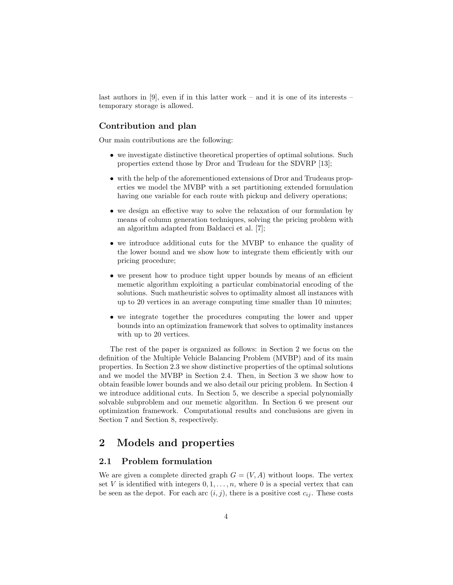last authors in [9], even if in this latter work – and it is one of its interests – temporary storage is allowed.

### Contribution and plan

Our main contributions are the following:

- we investigate distinctive theoretical properties of optimal solutions. Such properties extend those by Dror and Trudeau for the SDVRP [13];
- with the help of the aforementioned extensions of Dror and Trudeaus properties we model the MVBP with a set partitioning extended formulation having one variable for each route with pickup and delivery operations;
- we design an effective way to solve the relaxation of our formulation by means of column generation techniques, solving the pricing problem with an algorithm adapted from Baldacci et al. [7];
- we introduce additional cuts for the MVBP to enhance the quality of the lower bound and we show how to integrate them efficiently with our pricing procedure;
- we present how to produce tight upper bounds by means of an efficient memetic algorithm exploiting a particular combinatorial encoding of the solutions. Such matheuristic solves to optimality almost all instances with up to 20 vertices in an average computing time smaller than 10 minutes;
- we integrate together the procedures computing the lower and upper bounds into an optimization framework that solves to optimality instances with up to 20 vertices.

The rest of the paper is organized as follows: in Section 2 we focus on the definition of the Multiple Vehicle Balancing Problem (MVBP) and of its main properties. In Section 2.3 we show distinctive properties of the optimal solutions and we model the MVBP in Section 2.4. Then, in Section 3 we show how to obtain feasible lower bounds and we also detail our pricing problem. In Section 4 we introduce additional cuts. In Section 5, we describe a special polynomially solvable subproblem and our memetic algorithm. In Section 6 we present our optimization framework. Computational results and conclusions are given in Section 7 and Section 8, respectively.

### 2 Models and properties

### 2.1 Problem formulation

We are given a complete directed graph  $G = (V, A)$  without loops. The vertex set V is identified with integers  $0, 1, \ldots, n$ , where 0 is a special vertex that can be seen as the depot. For each arc  $(i, j)$ , there is a positive cost  $c_{ij}$ . These costs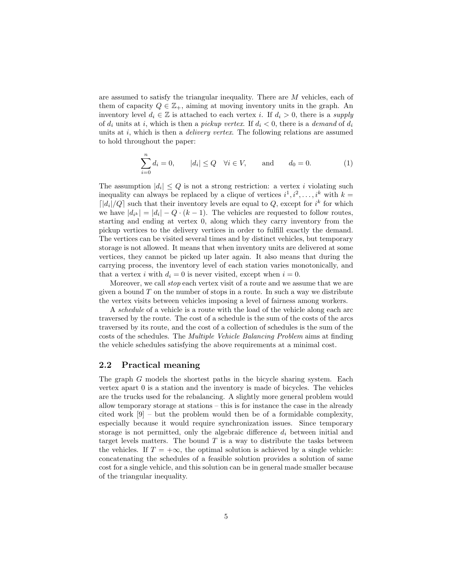are assumed to satisfy the triangular inequality. There are M vehicles, each of them of capacity  $Q \in \mathbb{Z}_+$ , aiming at moving inventory units in the graph. An inventory level  $d_i \in \mathbb{Z}$  is attached to each vertex i. If  $d_i > 0$ , there is a supply of  $d_i$  units at i, which is then a pickup vertex. If  $d_i < 0$ , there is a demand of  $d_i$ units at  $i$ , which is then a *delivery vertex*. The following relations are assumed to hold throughout the paper:

$$
\sum_{i=0}^{n} d_i = 0, \t |d_i| \le Q \quad \forall i \in V, \t \text{and} \t d_0 = 0.
$$
 (1)

The assumption  $|d_i| \leq Q$  is not a strong restriction: a vertex i violating such inequality can always be replaced by a clique of vertices  $i^1, i^2, \ldots, i^k$  with  $k =$  $\lceil |d_i|/Q \rceil$  such that their inventory levels are equal to  $Q$ , except for  $i^k$  for which we have  $|d_{i^k}| = |d_i| - Q \cdot (k-1)$ . The vehicles are requested to follow routes, starting and ending at vertex 0, along which they carry inventory from the pickup vertices to the delivery vertices in order to fulfill exactly the demand. The vertices can be visited several times and by distinct vehicles, but temporary storage is not allowed. It means that when inventory units are delivered at some vertices, they cannot be picked up later again. It also means that during the carrying process, the inventory level of each station varies monotonically, and that a vertex i with  $d_i = 0$  is never visited, except when  $i = 0$ .

Moreover, we call stop each vertex visit of a route and we assume that we are given a bound  $T$  on the number of stops in a route. In such a way we distribute the vertex visits between vehicles imposing a level of fairness among workers.

A schedule of a vehicle is a route with the load of the vehicle along each arc traversed by the route. The cost of a schedule is the sum of the costs of the arcs traversed by its route, and the cost of a collection of schedules is the sum of the costs of the schedules. The Multiple Vehicle Balancing Problem aims at finding the vehicle schedules satisfying the above requirements at a minimal cost.

### 2.2 Practical meaning

The graph G models the shortest paths in the bicycle sharing system. Each vertex apart 0 is a station and the inventory is made of bicycles. The vehicles are the trucks used for the rebalancing. A slightly more general problem would allow temporary storage at stations – this is for instance the case in the already cited work  $[9]$  – but the problem would then be of a formidable complexity, especially because it would require synchronization issues. Since temporary storage is not permitted, only the algebraic difference  $d_i$  between initial and target levels matters. The bound  $T$  is a way to distribute the tasks between the vehicles. If  $T = +\infty$ , the optimal solution is achieved by a single vehicle: concatenating the schedules of a feasible solution provides a solution of same cost for a single vehicle, and this solution can be in general made smaller because of the triangular inequality.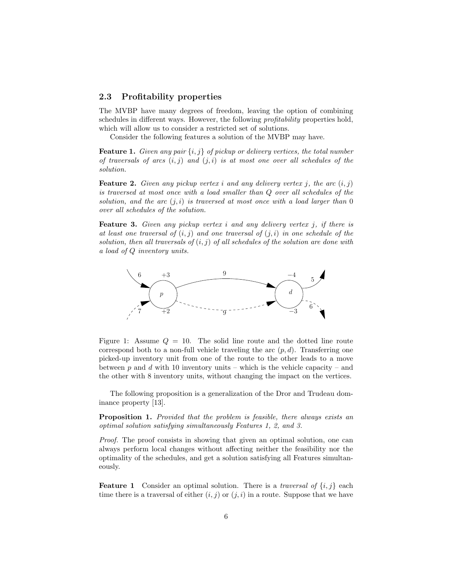### 2.3 Profitability properties

The MVBP have many degrees of freedom, leaving the option of combining schedules in different ways. However, the following profitability properties hold, which will allow us to consider a restricted set of solutions.

Consider the following features a solution of the MVBP may have.

**Feature 1.** Given any pair  $\{i, j\}$  of pickup or delivery vertices, the total number of traversals of arcs  $(i, j)$  and  $(j, i)$  is at most one over all schedules of the solution.

**Feature 2.** Given any pickup vertex i and any delivery vertex j, the arc  $(i, j)$ is traversed at most once with a load smaller than Q over all schedules of the solution, and the arc  $(j, i)$  is traversed at most once with a load larger than 0 over all schedules of the solution.

**Feature 3.** Given any pickup vertex  $i$  and any delivery vertex  $j$ , if there is at least one traversal of  $(i, j)$  and one traversal of  $(j, i)$  in one schedule of the solution, then all traversals of  $(i, j)$  of all schedules of the solution are done with a load of Q inventory units.



Figure 1: Assume  $Q = 10$ . The solid line route and the dotted line route correspond both to a non-full vehicle traveling the arc  $(p, d)$ . Transferring one picked-up inventory unit from one of the route to the other leads to a move between p and d with 10 inventory units – which is the vehicle capacity – and the other with 8 inventory units, without changing the impact on the vertices.

The following proposition is a generalization of the Dror and Trudeau dominance property [13].

Proposition 1. Provided that the problem is feasible, there always exists an optimal solution satisfying simultaneously Features 1, 2, and 3.

Proof. The proof consists in showing that given an optimal solution, one can always perform local changes without affecting neither the feasibility nor the optimality of the schedules, and get a solution satisfying all Features simultaneously.

**Feature 1** Consider an optimal solution. There is a *traversal of*  $\{i, j\}$  each time there is a traversal of either  $(i, j)$  or  $(j, i)$  in a route. Suppose that we have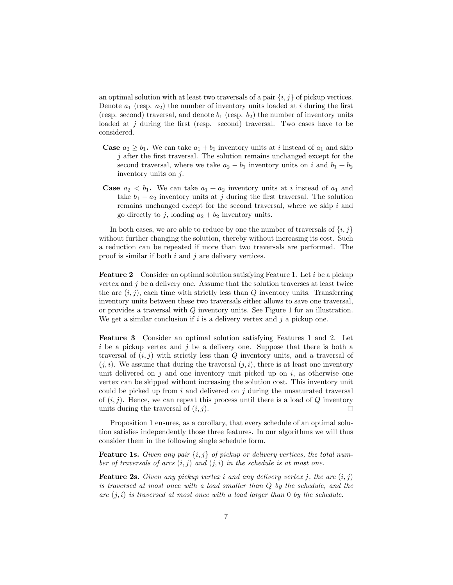an optimal solution with at least two traversals of a pair  $\{i, j\}$  of pickup vertices. Denote  $a_1$  (resp.  $a_2$ ) the number of inventory units loaded at i during the first (resp. second) traversal, and denote  $b_1$  (resp.  $b_2$ ) the number of inventory units loaded at  $j$  during the first (resp. second) traversal. Two cases have to be considered.

- **Case**  $a_2 \geq b_1$ . We can take  $a_1 + b_1$  inventory units at *i* instead of  $a_1$  and skip  $j$  after the first traversal. The solution remains unchanged except for the second traversal, where we take  $a_2 - b_1$  inventory units on i and  $b_1 + b_2$ inventory units on  $j$ .
- **Case**  $a_2 < b_1$ . We can take  $a_1 + a_2$  inventory units at i instead of  $a_1$  and take  $b_1 - a_2$  inventory units at j during the first traversal. The solution remains unchanged except for the second traversal, where we skip  $i$  and go directly to j, loading  $a_2 + b_2$  inventory units.

In both cases, we are able to reduce by one the number of traversals of  $\{i, j\}$ without further changing the solution, thereby without increasing its cost. Such a reduction can be repeated if more than two traversals are performed. The proof is similar if both  $i$  and  $j$  are delivery vertices.

Feature 2 Consider an optimal solution satisfying Feature 1. Let i be a pickup vertex and  $j$  be a delivery one. Assume that the solution traverses at least twice the arc  $(i, j)$ , each time with strictly less than  $Q$  inventory units. Transferring inventory units between these two traversals either allows to save one traversal, or provides a traversal with Q inventory units. See Figure 1 for an illustration. We get a similar conclusion if i is a delivery vertex and j a pickup one.

Feature 3 Consider an optimal solution satisfying Features 1 and 2. Let i be a pickup vertex and j be a delivery one. Suppose that there is both a traversal of  $(i, j)$  with strictly less than  $Q$  inventory units, and a traversal of  $(i, i)$ . We assume that during the traversal  $(i, i)$ , there is at least one inventory unit delivered on  $j$  and one inventory unit picked up on  $i$ , as otherwise one vertex can be skipped without increasing the solution cost. This inventory unit could be picked up from  $i$  and delivered on  $j$  during the unsaturated traversal of  $(i, j)$ . Hence, we can repeat this process until there is a load of Q inventory units during the traversal of  $(i, j)$ .  $\Box$ 

Proposition 1 ensures, as a corollary, that every schedule of an optimal solution satisfies independently those three features. In our algorithms we will thus consider them in the following single schedule form.

**Feature 1s.** Given any pair  $\{i, j\}$  of pickup or delivery vertices, the total number of traversals of arcs  $(i, j)$  and  $(j, i)$  in the schedule is at most one.

**Feature 2s.** Given any pickup vertex i and any delivery vertex j, the arc  $(i, j)$ is traversed at most once with a load smaller than Q by the schedule, and the arc  $(j, i)$  is traversed at most once with a load larger than 0 by the schedule.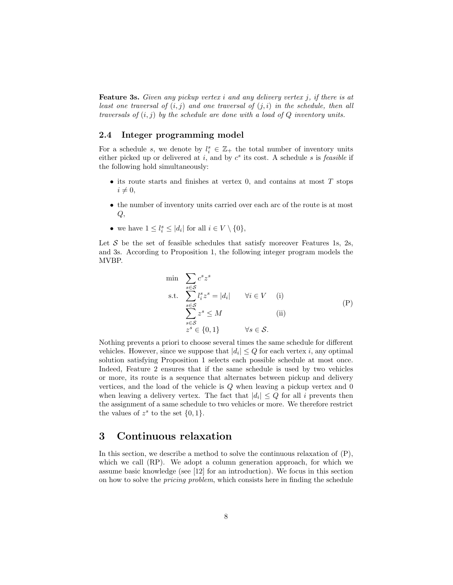**Feature 3s.** Given any pickup vertex  $i$  and any delivery vertex  $j$ , if there is at least one traversal of  $(i, j)$  and one traversal of  $(j, i)$  in the schedule, then all traversals of  $(i, j)$  by the schedule are done with a load of  $Q$  inventory units.

### 2.4 Integer programming model

For a schedule s, we denote by  $l_i^s \in \mathbb{Z}_+$  the total number of inventory units either picked up or delivered at  $i$ , and by  $c^s$  its cost. A schedule s is *feasible* if the following hold simultaneously:

- $\bullet$  its route starts and finishes at vertex 0, and contains at most  $T$  stops  $i \neq 0,$
- the number of inventory units carried over each arc of the route is at most  $Q,$
- we have  $1 \leq l_i^s \leq |d_i|$  for all  $i \in V \setminus \{0\},$

Let  $S$  be the set of feasible schedules that satisfy moreover Features 1s, 2s, and 3s. According to Proposition 1, the following integer program models the MVBP.

$$
\begin{array}{ll}\n\min & \sum_{s \in S} c^s z^s \\
\text{s.t.} & \sum_{s \in S} l_i^s z^s = |d_i| \qquad \forall i \in V \quad \text{(i)} \\
& \sum_{s \in S} z^s \le M \\
& z^s \in \{0, 1\} \qquad \forall s \in S.\n\end{array} \tag{P}
$$

Nothing prevents a priori to choose several times the same schedule for different vehicles. However, since we suppose that  $|d_i| \leq Q$  for each vertex *i*, any optimal solution satisfying Proposition 1 selects each possible schedule at most once. Indeed, Feature 2 ensures that if the same schedule is used by two vehicles or more, its route is a sequence that alternates between pickup and delivery vertices, and the load of the vehicle is Q when leaving a pickup vertex and 0 when leaving a delivery vertex. The fact that  $|d_i| \leq Q$  for all i prevents then the assignment of a same schedule to two vehicles or more. We therefore restrict the values of  $z^s$  to the set  $\{0, 1\}.$ 

### 3 Continuous relaxation

In this section, we describe a method to solve the continuous relaxation of (P), which we call (RP). We adopt a column generation approach, for which we assume basic knowledge (see [12] for an introduction). We focus in this section on how to solve the pricing problem, which consists here in finding the schedule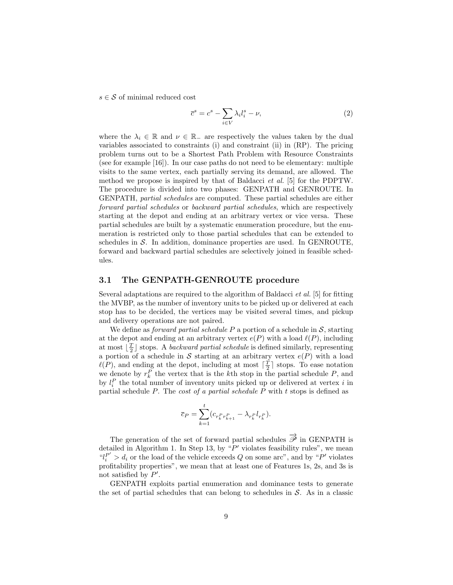$s \in \mathcal{S}$  of minimal reduced cost

$$
\overline{c}^s = c^s - \sum_{i \in V} \lambda_i l_i^s - \nu,
$$
\n(2)

where the  $\lambda_i \in \mathbb{R}$  and  $\nu \in \mathbb{R}_-$  are respectively the values taken by the dual variables associated to constraints (i) and constraint (ii) in (RP). The pricing problem turns out to be a Shortest Path Problem with Resource Constraints (see for example [16]). In our case paths do not need to be elementary: multiple visits to the same vertex, each partially serving its demand, are allowed. The method we propose is inspired by that of Baldacci et al. [5] for the PDPTW. The procedure is divided into two phases: GENPATH and GENROUTE. In GENPATH, partial schedules are computed. These partial schedules are either forward partial schedules or backward partial schedules, which are respectively starting at the depot and ending at an arbitrary vertex or vice versa. These partial schedules are built by a systematic enumeration procedure, but the enumeration is restricted only to those partial schedules that can be extended to schedules in  $S$ . In addition, dominance properties are used. In GENROUTE, forward and backward partial schedules are selectively joined in feasible schedules.

### 3.1 The GENPATH-GENROUTE procedure

Several adaptations are required to the algorithm of Baldacci et al. [5] for fitting the MVBP, as the number of inventory units to be picked up or delivered at each stop has to be decided, the vertices may be visited several times, and pickup and delivery operations are not paired.

We define as *forward partial schedule*  $P$  a portion of a schedule in  $S$ , starting at the depot and ending at an arbitrary vertex  $e(P)$  with a load  $\ell(P)$ , including at most  $\lfloor \frac{T}{2} \rfloor$  stops. A backward partial schedule is defined similarly, representing a portion of a schedule in S starting at an arbitrary vertex  $e(P)$  with a load  $\ell(P)$ , and ending at the depot, including at most  $\lceil \frac{T}{2} \rceil$  stops. To ease notation we denote by  $r_k^P$  the vertex that is the kth stop in the partial schedule  $P$ , and by  $l_i^P$  the total number of inventory units picked up or delivered at vertex i in partial schedule P. The cost of a partial schedule P with t stops is defined as

$$
\overline{c}_P = \sum_{k=1}^t (c_{r_k^P r_{k+1}^P} - \lambda_{r_k^P} l_{r_k^P}).
$$

The generation of the set of forward partial schedules  $\overrightarrow{\mathscr{P}}$  in GENPATH is detailed in Algorithm 1. In Step 13, by  $P'$  violates feasibility rules", we mean " $l_i^{P'} > d_i$  or the load of the vehicle exceeds Q on some arc", and by "P' violates profitability properties", we mean that at least one of Features 1s, 2s, and 3s is not satisfied by  $P'$ .

GENPATH exploits partial enumeration and dominance tests to generate the set of partial schedules that can belong to schedules in  $S$ . As in a classic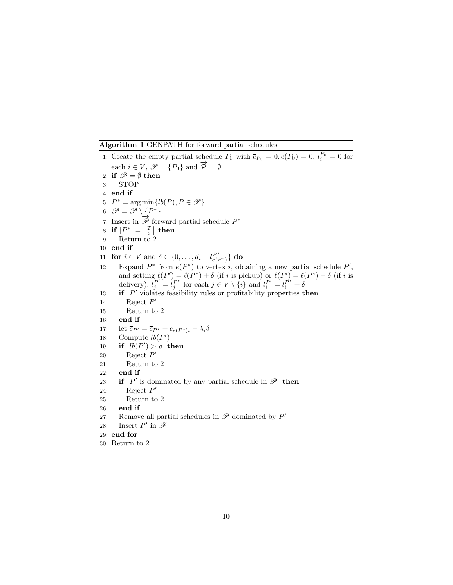Algorithm 1 GENPATH for forward partial schedules

1: Create the empty partial schedule  $P_0$  with  $\bar{c}_{P_0} = 0, e(P_0) = 0, l_i^{P_0} = 0$  for each  $i \in V$ ,  $\mathscr{P} = \{P_0\}$  and  $\overrightarrow{\mathcal{P}} = \emptyset$ 2: if  $\mathscr{P} = \emptyset$  then 3: STOP 4: end if 5:  $P^* = \arg \min \{ lb(P), P \in \mathscr{P} \}$ 6:  $\mathscr{P} = \mathscr{P} \setminus \{P^*\}$ 7: Insert in  $\overrightarrow{\mathscr{P}}$  forward partial schedule  $P^*$ 8: if  $|P^*| = \left\lfloor \frac{T}{2} \right\rfloor$  then 9: Return to 2 10: end if 11: **for**  $i \in V$  and  $\delta \in \{0, ..., d_i - l_{e(P^*)}^{P^*}\}\)$  **do** 12: Expand  $P^*$  from  $e(P^*)$  to vertex *i*, obtaining a new partial schedule  $P'$ , and setting  $\ell(P') = \ell(P^*) + \delta$  (if i is pickup) or  $\ell(P') = \ell(P^*) - \delta$  (if i is delivery),  $\tilde{l}_j^{P'} = l_j^{P^*}$  for each  $j \in V \setminus \{i\}$  and  $l_i^{P'} = l_i^{P^*} + \delta$ 13: **if**  $P'$  violates feasibility rules or profitability properties **then** 14: Reject  $P'$ 15: Return to 2 16: end if 17: let  $\overline{c}_{P'} = \overline{c}_{P^*} + c_{e(P^*)i} - \lambda_i \delta$ <br>18: Compute  $lb(P')$ 18: Compute  $lb(P')$ 19: if  $lb(P') > \rho$  then 20: Reject  $P'$ 21: Return to 2 22: end if 23: **if**  $P'$  is dominated by any partial schedule in  $\mathscr{P}$  then 24: Reject  $P'$ 25: Return to 2 26: end if 27: Remove all partial schedules in  $\mathscr P$  dominated by  $P'$ 28: Insert  $P'$  in  $\mathscr P$ 29: end for 30: Return to 2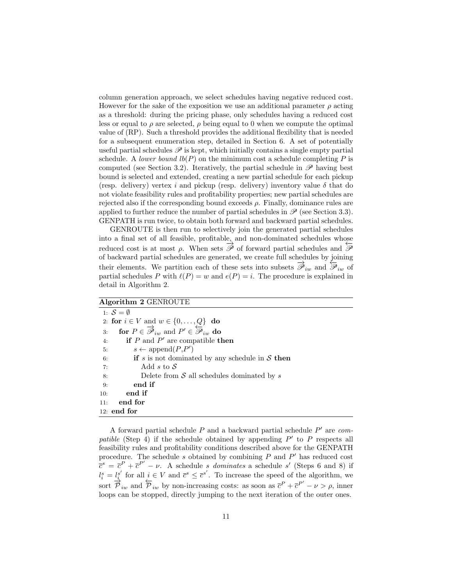column generation approach, we select schedules having negative reduced cost. However for the sake of the exposition we use an additional parameter  $\rho$  acting as a threshold: during the pricing phase, only schedules having a reduced cost less or equal to  $\rho$  are selected,  $\rho$  being equal to 0 when we compute the optimal value of (RP). Such a threshold provides the additional flexibility that is needed for a subsequent enumeration step, detailed in Section 6. A set of potentially useful partial schedules  $\mathscr P$  is kept, which initially contains a single empty partial schedule. A lower bound  $lb(P)$  on the minimum cost a schedule completing P is computed (see Section 3.2). Iteratively, the partial schedule in  $\mathscr P$  having best bound is selected and extended, creating a new partial schedule for each pickup (resp. delivery) vertex i and pickup (resp. delivery) inventory value  $\delta$  that do not violate feasibility rules and profitability properties; new partial schedules are rejected also if the corresponding bound exceeds  $\rho$ . Finally, dominance rules are applied to further reduce the number of partial schedules in  $\mathscr{P}$  (see Section 3.3). GENPATH is run twice, to obtain both forward and backward partial schedules.

GENROUTE is then run to selectively join the generated partial schedules into a final set of all feasible, profitable, and non-dominated schedules whose reduced cost is at most  $\rho$ . When sets  $\overrightarrow{\mathscr{P}}$  of forward partial schedules and  $\overleftarrow{\mathscr{P}}$ of backward partial schedules are generated, we create full schedules by joining their elements. We partition each of these sets into subsets  $\vec{\mathscr{P}}_{iw}$  and  $\vec{\mathscr{P}}_{iw}$  of partial schedules P with  $\ell(P) = w$  and  $e(P) = i$ . The procedure is explained in detail in Algorithm 2.

#### Algorithm 2 GENROUTE

1:  $\mathcal{S} = \emptyset$ 2: for  $i \in V$  and  $w \in \{0, \ldots, Q\}$  do 3: for  $P \in \overline{\mathscr{P}}_{iw}$  and  $P' \in \overline{\mathscr{P}}_{iw}$  do 4: if  $P$  and  $P'$  are compatible then 5:  $s \leftarrow \text{append}(P, P')$ 6: **if** s is not dominated by any schedule in S then 7: Add s to S 7: Add  $s$  to  $S$ <br>8: Delete from Delete from  $S$  all schedules dominated by s 9: end if 10: end if 11: end for 12: end for

A forward partial schedule  $P$  and a backward partial schedule  $P'$  are compatible (Step 4) if the schedule obtained by appending  $P'$  to P respects all feasibility rules and profitability conditions described above for the GENPATH procedure. The schedule s obtained by combining  $P$  and  $P'$  has reduced cost  $\bar{c}^s = \bar{c}^P + \bar{c}^{P'} - \nu$ . A schedule *s* dominates a schedule *s'* (Steps 6 and 8) if  $l_i^s = \frac{l_i^{s'}}{l_i}$  for all  $i \in V$  and  $\bar{c}^s \leq \bar{c}^{s'}$ . To increase the speed of the algorithm, we sort  $\overrightarrow{\mathcal{P}}_{iw}$  and  $\overleftarrow{\mathcal{P}}_{iw}$  by non-increasing costs: as soon as  $\overline{c}^P + \overline{c}^{P'} - \nu > \rho$ , inner loops can be stopped, directly jumping to the next iteration of the outer ones.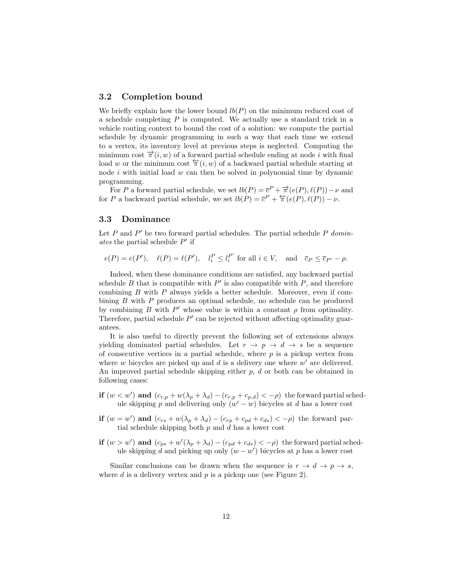#### 3.2 Completion bound

We briefly explain how the lower bound  $lb(P)$  on the minimum reduced cost of a schedule completing P is computed. We actually use a standard trick in a vehicle routing context to bound the cost of a solution: we compute the partial schedule by dynamic programming in such a way that each time we extend to a vertex, its inventory level at previous steps is neglected. Computing the minimum cost  $\overrightarrow{\pi}(i, w)$  of a forward partial schedule ending at node i with final load w or the minimum cost  $\pi(i, w)$  of a backward partial schedule starting at node  $i$  with initial load  $w$  can then be solved in polynomial time by dynamic programming.

For P a forward partial schedule, we set  $lb(P) = \overline{c}^P + \overrightarrow{\pi}(e(P), \ell(P)) - \nu$  and for P a backward partial schedule, we set  $lb(P) = \overline{c}^P + \overleftarrow{\pi}(e(P), \ell(P)) - \nu$ .

### 3.3 Dominance

Let  $P$  and  $P'$  be two forward partial schedules. The partial schedule  $P$  dominates the partial schedule  $P'$  if

 $e(P) = e(P'), \quad \ell(P) = \ell(P'), \quad l_i^P \le l_i^{P'}$  $i<sup>P</sup>$  for all  $i \in V$ , and  $\overline{c}_P \leq \overline{c}_{P'} - \rho$ .

Indeed, when these dominance conditions are satisfied, any backward partial schedule B that is compatible with  $P'$  is also compatible with P, and therefore combining B with P always yields a better schedule. Moreover, even if combining B with P produces an optimal schedule, no schedule can be produced by combining B with  $P'$  whose value is within a constant  $\rho$  from optimality. Therefore, partial schedule  $P'$  can be rejected without affecting optimality guarantees.

It is also useful to directly prevent the following set of extensions always yielding dominated partial schedules. Let  $r \to p \to d \to s$  be a sequence of consecutive vertices in a partial schedule, where  $p$  is a pickup vertex from where  $w$  bicycles are picked up and  $d$  is a delivery one where  $w'$  are delivered. An improved partial schedule skipping either  $p, d$  or both can be obtained in following cases:

- if  $(w < w')$  and  $(c_{r,p} + w(\lambda_p + \lambda_d) (c_{r,p} + c_{p,d}) < -\rho)$  the forward partial schedule skipping p and delivering only  $(w'-w)$  bicycles at d has a lower cost
- if  $(w = w')$  and  $(c_{rs} + w(\lambda_p + \lambda_d) (c_{rp} + c_{pd} + c_{ds}) < -\rho)$  the forward partial schedule skipping both  $p$  and  $d$  has a lower cost
- if  $(w > w')$  and  $(c_{ps} + w'(\lambda_p + \lambda_d) (c_{pd} + c_{ds}) < -\rho)$  the forward partial schedule skipping d and picking up only  $(w - w')$  bicycles at p has a lower cost

Similar conclusions can be drawn when the sequence is  $r \to d \to p \to s$ , where  $d$  is a delivery vertex and  $p$  is a pickup one (see Figure 2).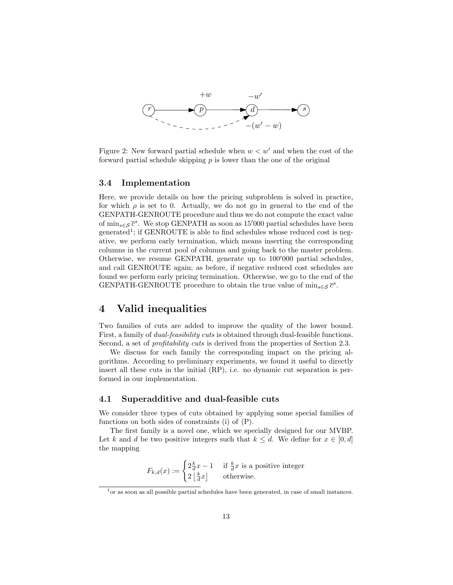

Figure 2: New forward partial schedule when  $w < w'$  and when the cost of the forward partial schedule skipping  $p$  is lower than the one of the original

### 3.4 Implementation

Here, we provide details on how the pricing subproblem is solved in practice, for which  $\rho$  is set to 0. Actually, we do not go in general to the end of the GENPATH-GENROUTE procedure and thus we do not compute the exact value of  $\min_{s \in \mathcal{S}} \overline{c}^s$ . We stop GENPATH as soon as 15'000 partial schedules have been generated<sup>1</sup>; if GENROUTE is able to find schedules whose reduced cost is negative, we perform early termination, which means inserting the corresponding columns in the current pool of columns and going back to the master problem. Otherwise, we resume GENPATH, generate up to  $100'000$  partial schedules, and call GENROUTE again; as before, if negative reduced cost schedules are found we perform early pricing termination. Otherwise, we go to the end of the GENPATH-GENROUTE procedure to obtain the true value of  $\min_{s \in \mathcal{S}} \bar{c}^s$ .

### 4 Valid inequalities

Two families of cuts are added to improve the quality of the lower bound. First, a family of dual-feasibility cuts is obtained through dual-feasible functions. Second, a set of *profitability cuts* is derived from the properties of Section 2.3.

We discuss for each family the corresponding impact on the pricing algorithms. According to preliminary experiments, we found it useful to directly insert all these cuts in the initial (RP), i.e. no dynamic cut separation is performed in our implementation.

### 4.1 Superadditive and dual-feasible cuts

We consider three types of cuts obtained by applying some special families of functions on both sides of constraints (i) of (P).

The first family is a novel one, which we specially designed for our MVBP. Let k and d be two positive integers such that  $k \leq d$ . We define for  $x \in [0, d]$ the mapping

$$
F_{k,d}(x) := \begin{cases} 2\frac{k}{d}x - 1 & \text{if } \frac{k}{d}x \text{ is a positive integer} \\ 2\left\lfloor \frac{k}{d}x \right\rfloor & \text{otherwise.} \end{cases}
$$

 $1$ <sup>o</sup> as soon as all possible partial schedules have been generated, in case of small instances.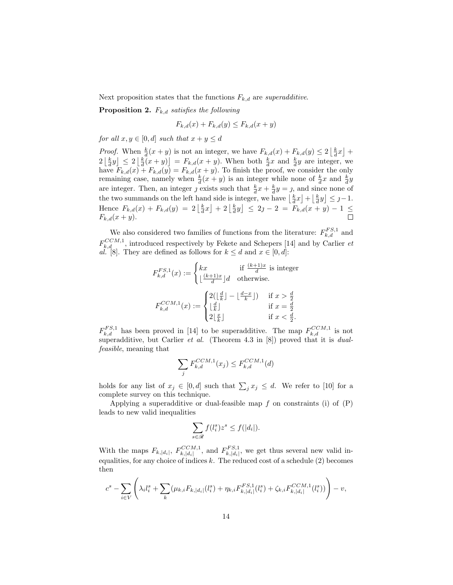Next proposition states that the functions  $F_{k,d}$  are superadditive.

**Proposition 2.**  $F_{k,d}$  satisfies the following

$$
F_{k,d}(x) + F_{k,d}(y) \le F_{k,d}(x+y)
$$

for all  $x, y \in [0, d]$  such that  $x + y \leq d$ 

*Proof.* When  $\frac{k}{d}(x+y)$  is not an integer, we have  $F_{k,d}(x) + F_{k,d}(y) \leq 2\left\lfloor \frac{k}{d}x \right\rfloor +$  $2\left\lfloor \frac{k}{d}y\right\rfloor \leq 2\left\lfloor \frac{k}{d}(x+y)\right\rfloor = F_{k,d}(x+y)$ . When both  $\frac{k}{d}x$  and  $\frac{k}{d}y$  are integer, we have  $F_{k,d}(x) + F_{k,d}(y) = F_{k,d}(x+y)$ . To finish the proof, we consider the only remaining case, namely when  $\frac{k}{d}(x+y)$  is an integer while none of  $\frac{k}{d}x$  and  $\frac{k}{d}y$ are integer. Then, an integer  $j$  exists such that  $\frac{k}{d}x + \frac{k}{d}y = j$ , and since none of the two summands on the left hand side is integer, we have  $\left\lfloor \frac{k}{d}x \right\rfloor + \left\lfloor \frac{k}{d}y \right\rfloor \leq j-1$ . Hence  $F_{k,d}(x) + F_{k,d}(y) = 2\left\lfloor \frac{k}{d}x \right\rfloor + 2\left\lfloor \frac{k}{d}y \right\rfloor \leq 2j - 2 = F_{k,d}(x+y) - 1 \leq$  $F_{k,d}(x+y).$ 

We also considered two families of functions from the literature:  $F_{k,d}^{FS,1}$  and  $F_{k,d}^{CCM,1}$ , introduced respectively by Fekete and Schepers [14] and by Carlier et al. [8]. They are defined as follows for  $k \le d$  and  $x \in [0, d]$ :

$$
F_{k,d}^{FS,1}(x) := \begin{cases} kx & \text{if } \frac{(k+1)x}{d} \text{ is integer} \\ \lfloor \frac{(k+1)x}{d} \rfloor d & \text{otherwise.} \end{cases}
$$

$$
F_{k,d}^{CCM,1}(x) := \begin{cases} 2(\lfloor \frac{d}{k} \rfloor - \lfloor \frac{d-x}{k} \rfloor) & \text{if } x > \frac{d}{2} \\ \lfloor \frac{d}{k} \rfloor & \text{if } x = \frac{d}{2} \\ 2\lfloor \frac{x}{k} \rfloor & \text{if } x < \frac{d}{2}. \end{cases}
$$

 $F_{k,d}^{FS,1}$  has been proved in [14] to be superadditive. The map  $F_{k,d}^{CCM,1}$  is not superadditive, but Carlier et al. (Theorem 4.3 in [8]) proved that it is dualfeasible, meaning that

$$
\sum_{j} F_{k,d}^{CCM,1}(x_j) \le F_{k,d}^{CCM,1}(d)
$$

holds for any list of  $x_j \in [0, d]$  such that  $\sum_j x_j \leq d$ . We refer to [10] for a complete survey on this technique.

Applying a superadditive or dual-feasible map  $f$  on constraints (i) of  $(P)$ leads to new valid inequalities

$$
\sum_{s \in \mathcal{R}} f(l_i^s) z^s \le f(|d_i|).
$$

With the maps  $F_{k,|d_i|}$ ,  $F_{k,|d_i|}^{CCM,1}$  $F_{k,|d_i|}^{CCM,1}$ , and  $F_{k,|d_i|}^{FS,1}$  $\sum_{k,|d_i|}^{L,S,1}$ , we get thus several new valid inequalities, for any choice of indices  $k$ . The reduced cost of a schedule  $(2)$  becomes then

$$
c^s - \sum_{i \in V} \left( \lambda_i l_i^s + \sum_k (\mu_{k,i} F_{k,|d_i|}(l_i^s) + \eta_{k,i} F_{k,|d_i|}^{FS,1}(l_i^s) + \zeta_{k,i} F_{k,|d_i|}^{CCM,1}(l_i^s)) \right) - v,
$$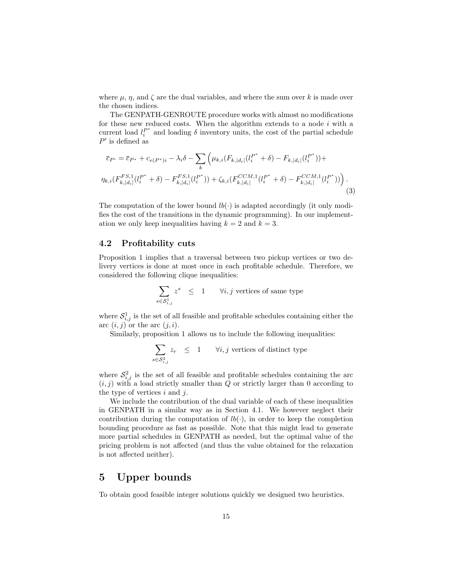where  $\mu$ ,  $\eta$ , and  $\zeta$  are the dual variables, and where the sum over k is made over the chosen indices.

The GENPATH-GENROUTE procedure works with almost no modifications for these new reduced costs. When the algorithm extends to a node  $i$  with a current load  $l_i^{P^*}$  and loading  $\delta$  inventory units, the cost of the partial schedule  $P'$  is defined as

$$
\overline{c}_{P'} = \overline{c}_{P^*} + c_{e(P^*)i} - \lambda_i \delta - \sum_{k} \left( \mu_{k,i} (F_{k,|d_i|}(l_i^{P^*} + \delta) - F_{k,|d_i|}(l_i^{P^*})) + \eta_{k,i} (F_{k,|d_i|}^{FS,1}(l_i^{P^*} + \delta) - F_{k,|d_i|}^{FS,1}(l_i^{P^*})) + \zeta_{k,i} (F_{k,|d_i|}^{CCM,1}(l_i^{P^*} + \delta) - F_{k,|d_i|}^{CCM,1}(l_i^{P^*})) \right).
$$
\n(3)

The computation of the lower bound  $lb(\cdot)$  is adapted accordingly (it only modifies the cost of the transitions in the dynamic programming). In our implementation we only keep inequalities having  $k = 2$  and  $k = 3$ .

### 4.2 Profitability cuts

Proposition 1 implies that a traversal between two pickup vertices or two delivery vertices is done at most once in each profitable schedule. Therefore, we considered the following clique inequalities:

$$
\sum_{s \in \mathcal{S}_{i,j}^1} z^s \quad \leq \quad 1 \qquad \forall i,j \text{ vertices of same type}
$$

where  $S^1_{i,j}$  is the set of all feasible and profitable schedules containing either the arc  $(i, j)$  or the arc  $(j, i)$ .

Similarly, proposition 1 allows us to include the following inequalities:

$$
\sum_{s \in \mathcal{S}^2_{i,j}} z_r \leq 1 \qquad \forall i,j \text{ vertices of distinct type}
$$

where  $S_{i,j}^2$  is the set of all feasible and profitable schedules containing the arc  $(i, j)$  with a load strictly smaller than Q or strictly larger than 0 according to the type of vertices  $i$  and  $j$ .

We include the contribution of the dual variable of each of these inequalities in GENPATH in a similar way as in Section 4.1. We however neglect their contribution during the computation of  $lb(\cdot)$ , in order to keep the completion bounding procedure as fast as possible. Note that this might lead to generate more partial schedules in GENPATH as needed, but the optimal value of the pricing problem is not affected (and thus the value obtained for the relaxation is not affected neither).

### 5 Upper bounds

To obtain good feasible integer solutions quickly we designed two heuristics.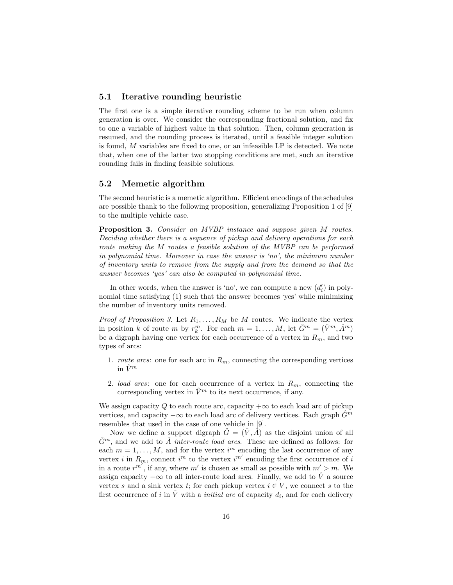### 5.1 Iterative rounding heuristic

The first one is a simple iterative rounding scheme to be run when column generation is over. We consider the corresponding fractional solution, and fix to one a variable of highest value in that solution. Then, column generation is resumed, and the rounding process is iterated, until a feasible integer solution is found, M variables are fixed to one, or an infeasible LP is detected. We note that, when one of the latter two stopping conditions are met, such an iterative rounding fails in finding feasible solutions.

### 5.2 Memetic algorithm

The second heuristic is a memetic algorithm. Efficient encodings of the schedules are possible thank to the following proposition, generalizing Proposition 1 of [9] to the multiple vehicle case.

Proposition 3. Consider an MVBP instance and suppose given M routes. Deciding whether there is a sequence of pickup and delivery operations for each route making the M routes a feasible solution of the MVBP can be performed in polynomial time. Moreover in case the answer is 'no', the minimum number of inventory units to remove from the supply and from the demand so that the answer becomes 'yes' can also be computed in polynomial time.

In other words, when the answer is 'no', we can compute a new  $(d_i)$  in polynomial time satisfying (1) such that the answer becomes 'yes' while minimizing the number of inventory units removed.

*Proof of Proposition 3.* Let  $R_1, \ldots, R_M$  be M routes. We indicate the vertex in position k of route m by  $r_k^m$ . For each  $m = 1, ..., M$ , let  $\hat{G}^m = (\hat{V}^m, \hat{A}^m)$ be a digraph having one vertex for each occurrence of a vertex in  $R_m$ , and two types of arcs:

- 1. *route arcs*: one for each arc in  $R_m$ , connecting the corresponding vertices in  $\hat{V}^m$
- 2. *load arcs*: one for each occurrence of a vertex in  $R_m$ , connecting the corresponding vertex in  $\hat{V}^m$  to its next occurrence, if any.

We assign capacity Q to each route arc, capacity  $+\infty$  to each load arc of pickup vertices, and capacity  $-\infty$  to each load arc of delivery vertices. Each graph  $G^m$ resembles that used in the case of one vehicle in [9].

Now we define a support digraph  $\hat{G} = (\hat{V}, \hat{A})$  as the disjoint union of all  $\hat{G}^m$ , and we add to  $\hat{A}$  inter-route load arcs. These are defined as follows: for each  $m = 1, \ldots, M$ , and for the vertex  $i<sup>m</sup>$  encoding the last occurrence of any vertex i in  $R_m$ , connect i<sup>m</sup> to the vertex i<sup>m'</sup> encoding the first occurrence of i in a route  $r^{m'}$ , if any, where m' is chosen as small as possible with  $m' > m$ . We assign capacity  $+\infty$  to all inter-route load arcs. Finally, we add to  $\hat{V}$  a source vertex s and a sink vertex t; for each pickup vertex  $i \in V$ , we connect s to the first occurrence of i in  $\hat{V}$  with a *initial arc* of capacity  $d_i$ , and for each delivery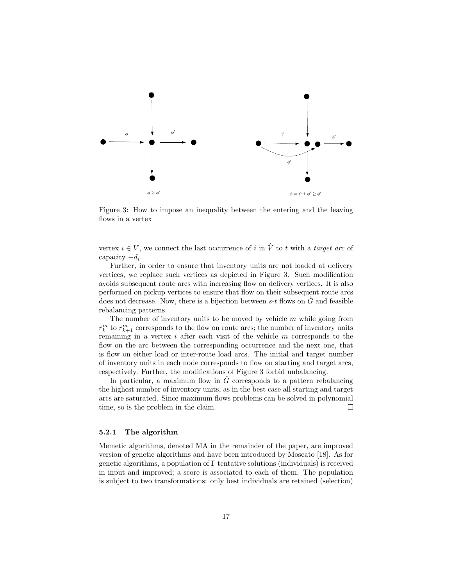

Figure 3: How to impose an inequality between the entering and the leaving flows in a vertex

vertex  $i \in V$ , we connect the last occurrence of i in  $\hat{V}$  to t with a target arc of capacity  $-d_i$ .

Further, in order to ensure that inventory units are not loaded at delivery vertices, we replace such vertices as depicted in Figure 3. Such modification avoids subsequent route arcs with increasing flow on delivery vertices. It is also performed on pickup vertices to ensure that flow on their subsequent route arcs does not decrease. Now, there is a bijection between  $s-t$  flows on  $\hat{G}$  and feasible rebalancing patterns.

The number of inventory units to be moved by vehicle  $m$  while going from  $r_k^m$  to  $r_{k+1}^m$  corresponds to the flow on route arcs; the number of inventory units remaining in a vertex  $i$  after each visit of the vehicle  $m$  corresponds to the flow on the arc between the corresponding occurrence and the next one, that is flow on either load or inter-route load arcs. The initial and target number of inventory units in each node corresponds to flow on starting and target arcs, respectively. Further, the modifications of Figure 3 forbid unbalancing.

In particular, a maximum flow in  $\hat{G}$  corresponds to a pattern rebalancing the highest number of inventory units, as in the best case all starting and target arcs are saturated. Since maximum flows problems can be solved in polynomial time, so is the problem in the claim.  $\Box$ 

#### 5.2.1 The algorithm

Memetic algorithms, denoted MA in the remainder of the paper, are improved version of genetic algorithms and have been introduced by Moscato [18]. As for genetic algorithms, a population of  $\Gamma$  tentative solutions (individuals) is received in input and improved; a score is associated to each of them. The population is subject to two transformations: only best individuals are retained (selection)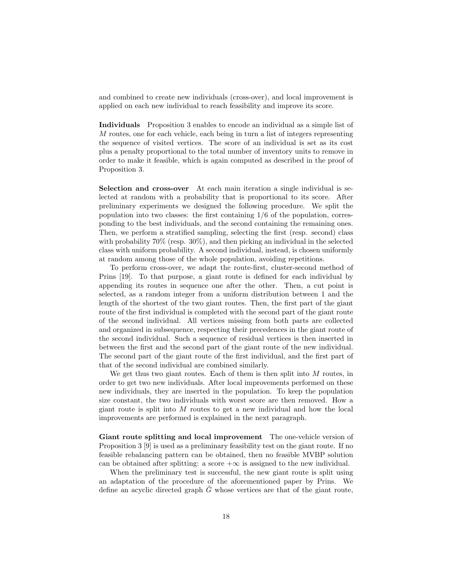and combined to create new individuals (cross-over), and local improvement is applied on each new individual to reach feasibility and improve its score.

Individuals Proposition 3 enables to encode an individual as a simple list of M routes, one for each vehicle, each being in turn a list of integers representing the sequence of visited vertices. The score of an individual is set as its cost plus a penalty proportional to the total number of inventory units to remove in order to make it feasible, which is again computed as described in the proof of Proposition 3.

Selection and cross-over At each main iteration a single individual is selected at random with a probability that is proportional to its score. After preliminary experiments we designed the following procedure. We split the population into two classes: the first containing  $1/6$  of the population, corresponding to the best individuals, and the second containing the remaining ones. Then, we perform a stratified sampling, selecting the first (resp. second) class with probability 70% (resp. 30%), and then picking an individual in the selected class with uniform probability. A second individual, instead, is chosen uniformly at random among those of the whole population, avoiding repetitions.

To perform cross-over, we adapt the route-first, cluster-second method of Prins [19]. To that purpose, a giant route is defined for each individual by appending its routes in sequence one after the other. Then, a cut point is selected, as a random integer from a uniform distribution between 1 and the length of the shortest of the two giant routes. Then, the first part of the giant route of the first individual is completed with the second part of the giant route of the second individual. All vertices missing from both parts are collected and organized in subsequence, respecting their precedences in the giant route of the second individual. Such a sequence of residual vertices is then inserted in between the first and the second part of the giant route of the new individual. The second part of the giant route of the first individual, and the first part of that of the second individual are combined similarly.

We get thus two giant routes. Each of them is then split into  $M$  routes, in order to get two new individuals. After local improvements performed on these new individuals, they are inserted in the population. To keep the population size constant, the two individuals with worst score are then removed. How a giant route is split into  $M$  routes to get a new individual and how the local improvements are performed is explained in the next paragraph.

Giant route splitting and local improvement The one-vehicle version of Proposition 3 [9] is used as a preliminary feasibility test on the giant route. If no feasible rebalancing pattern can be obtained, then no feasible MVBP solution can be obtained after splitting: a score  $+\infty$  is assigned to the new individual.

When the preliminary test is successful, the new giant route is split using an adaptation of the procedure of the aforementioned paper by Prins. We define an acyclic directed graph  $G$  whose vertices are that of the giant route,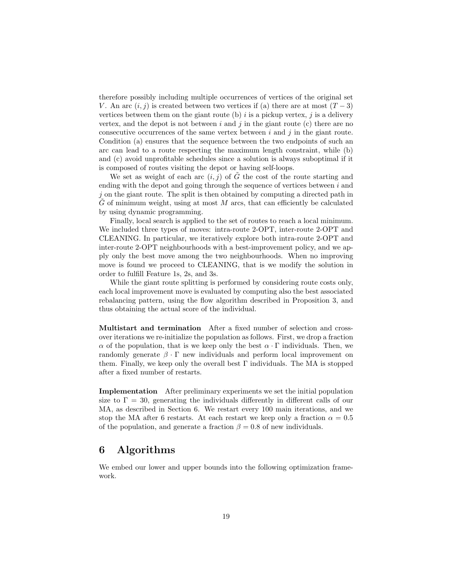therefore possibly including multiple occurrences of vertices of the original set V. An arc  $(i, j)$  is created between two vertices if (a) there are at most  $(T - 3)$ vertices between them on the giant route (b)  $i$  is a pickup vertex,  $i$  is a delivery vertex, and the depot is not between  $i$  and  $j$  in the giant route  $(c)$  there are no consecutive occurrences of the same vertex between  $i$  and  $j$  in the giant route. Condition (a) ensures that the sequence between the two endpoints of such an arc can lead to a route respecting the maximum length constraint, while (b) and (c) avoid unprofitable schedules since a solution is always suboptimal if it is composed of routes visiting the depot or having self-loops.

We set as weight of each arc  $(i, j)$  of  $\tilde{G}$  the cost of the route starting and ending with the depot and going through the sequence of vertices between  $i$  and  $j$  on the giant route. The split is then obtained by computing a directed path in  $G$  of minimum weight, using at most  $M$  arcs, that can efficiently be calculated by using dynamic programming.

Finally, local search is applied to the set of routes to reach a local minimum. We included three types of moves: intra-route 2-OPT, inter-route 2-OPT and CLEANING. In particular, we iteratively explore both intra-route 2-OPT and inter-route 2-OPT neighbourhoods with a best-improvement policy, and we apply only the best move among the two neighbourhoods. When no improving move is found we proceed to CLEANING, that is we modify the solution in order to fulfill Feature 1s, 2s, and 3s.

While the giant route splitting is performed by considering route costs only, each local improvement move is evaluated by computing also the best associated rebalancing pattern, using the flow algorithm described in Proposition 3, and thus obtaining the actual score of the individual.

Multistart and termination After a fixed number of selection and crossover iterations we re-initialize the population as follows. First, we drop a fraction  $\alpha$  of the population, that is we keep only the best  $\alpha \cdot \Gamma$  individuals. Then, we randomly generate  $\beta \cdot \Gamma$  new individuals and perform local improvement on them. Finally, we keep only the overall best Γ individuals. The MA is stopped after a fixed number of restarts.

Implementation After preliminary experiments we set the initial population size to  $\Gamma = 30$ , generating the individuals differently in different calls of our MA, as described in Section 6. We restart every 100 main iterations, and we stop the MA after 6 restarts. At each restart we keep only a fraction  $\alpha = 0.5$ of the population, and generate a fraction  $\beta = 0.8$  of new individuals.

## 6 Algorithms

We embed our lower and upper bounds into the following optimization framework.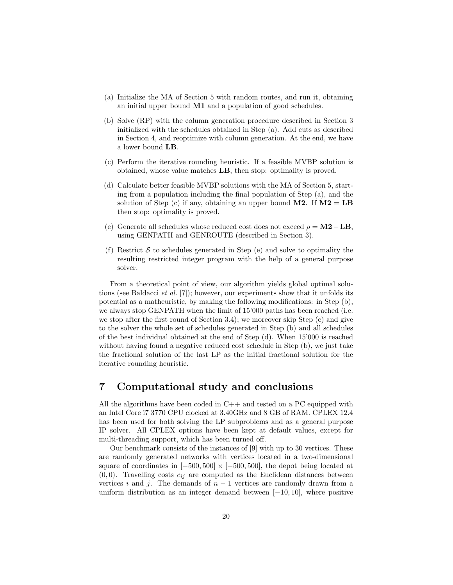- (a) Initialize the MA of Section 5 with random routes, and run it, obtaining an initial upper bound M1 and a population of good schedules.
- (b) Solve (RP) with the column generation procedure described in Section 3 initialized with the schedules obtained in Step (a). Add cuts as described in Section 4, and reoptimize with column generation. At the end, we have a lower bound LB.
- (c) Perform the iterative rounding heuristic. If a feasible MVBP solution is obtained, whose value matches LB, then stop: optimality is proved.
- (d) Calculate better feasible MVBP solutions with the MA of Section 5, starting from a population including the final population of Step (a), and the solution of Step (c) if any, obtaining an upper bound  $M2$ . If  $M2 = LB$ then stop: optimality is proved.
- (e) Generate all schedules whose reduced cost does not exceed  $\rho = M2 LB$ . using GENPATH and GENROUTE (described in Section 3).
- (f) Restrict  $S$  to schedules generated in Step (e) and solve to optimality the resulting restricted integer program with the help of a general purpose solver.

From a theoretical point of view, our algorithm yields global optimal solutions (see Baldacci et al. [7]); however, our experiments show that it unfolds its potential as a matheuristic, by making the following modifications: in Step (b), we always stop GENPATH when the limit of 15'000 paths has been reached (i.e. we stop after the first round of Section 3.4); we moreover skip Step (e) and give to the solver the whole set of schedules generated in Step (b) and all schedules of the best individual obtained at the end of Step (d). When 15'000 is reached without having found a negative reduced cost schedule in Step (b), we just take the fractional solution of the last LP as the initial fractional solution for the iterative rounding heuristic.

### 7 Computational study and conclusions

All the algorithms have been coded in  $C++$  and tested on a PC equipped with an Intel Core i7 3770 CPU clocked at 3.40GHz and 8 GB of RAM. CPLEX 12.4 has been used for both solving the LP subproblems and as a general purpose IP solver. All CPLEX options have been kept at default values, except for multi-threading support, which has been turned off.

Our benchmark consists of the instances of [9] with up to 30 vertices. These are randomly generated networks with vertices located in a two-dimensional square of coordinates in  $[-500, 500] \times [-500, 500]$ , the depot being located at  $(0, 0)$ . Travelling costs  $c_{ij}$  are computed as the Euclidean distances between vertices i and j. The demands of  $n-1$  vertices are randomly drawn from a uniform distribution as an integer demand between  $[-10, 10]$ , where positive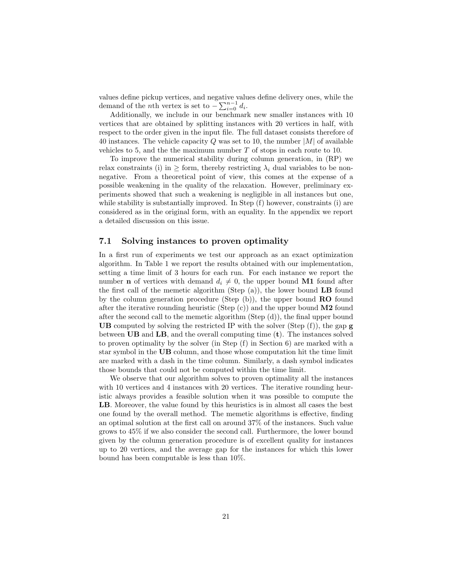values define pickup vertices, and negative values define delivery ones, while the demand of the *n*th vertex is set to  $-\sum_{i=0}^{n-1} d_i$ .

Additionally, we include in our benchmark new smaller instances with 10 vertices that are obtained by splitting instances with 20 vertices in half, with respect to the order given in the input file. The full dataset consists therefore of 40 instances. The vehicle capacity  $Q$  was set to 10, the number  $|M|$  of available vehicles to 5, and the the maximum number T of stops in each route to 10.

To improve the numerical stability during column generation, in (RP) we relax constraints (i) in  $>$  form, thereby restricting  $\lambda_i$  dual variables to be nonnegative. From a theoretical point of view, this comes at the expense of a possible weakening in the quality of the relaxation. However, preliminary experiments showed that such a weakening is negligible in all instances but one, while stability is substantially improved. In Step  $(f)$  however, constraints  $(i)$  are considered as in the original form, with an equality. In the appendix we report a detailed discussion on this issue.

### 7.1 Solving instances to proven optimality

In a first run of experiments we test our approach as an exact optimization algorithm. In Table 1 we report the results obtained with our implementation, setting a time limit of 3 hours for each run. For each instance we report the number **n** of vertices with demand  $d_i \neq 0$ , the upper bound **M1** found after the first call of the memetic algorithm (Step  $(a)$ ), the lower bound **LB** found by the column generation procedure (Step  $(b)$ ), the upper bound **RO** found after the iterative rounding heuristic (Step  $(c)$ ) and the upper bound **M2** found after the second call to the memetic algorithm (Step (d)), the final upper bound UB computed by solving the restricted IP with the solver (Step  $(f)$ ), the gap g between  $UB$  and  $LB$ , and the overall computing time  $(t)$ . The instances solved to proven optimality by the solver (in Step (f) in Section 6) are marked with a star symbol in the UB column, and those whose computation hit the time limit are marked with a dash in the time column. Similarly, a dash symbol indicates those bounds that could not be computed within the time limit.

We observe that our algorithm solves to proven optimality all the instances with 10 vertices and 4 instances with 20 vertices. The iterative rounding heuristic always provides a feasible solution when it was possible to compute the LB. Moreover, the value found by this heuristics is in almost all cases the best one found by the overall method. The memetic algorithms is effective, finding an optimal solution at the first call on around 37% of the instances. Such value grows to 45% if we also consider the second call. Furthermore, the lower bound given by the column generation procedure is of excellent quality for instances up to 20 vertices, and the average gap for the instances for which this lower bound has been computable is less than 10%.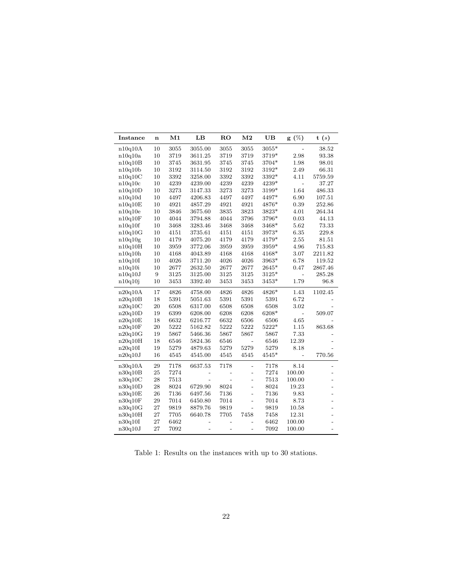| <b>Instance</b> | n  | M1   | LB             | <b>RO</b>      | M <sub>2</sub> | UB      | $g(\%)$        | t(s)           |
|-----------------|----|------|----------------|----------------|----------------|---------|----------------|----------------|
| n10q10A         | 10 | 3055 | 3055.00        | 3055           | 3055           | 3055*   |                | 38.52          |
| n10q10a         | 10 | 3719 | 3611.25        | 3719           | 3719           | 3719*   | 2.98           | 93.38          |
| n10q10B         | 10 | 3745 | 3631.95        | 3745           | 3745           | 3704*   | 1.98           | 98.01          |
| n10q10b         | 10 | 3192 | 3114.50        | 3192           | 3192           | 3192*   | 2.49           | 66.31          |
| n10q10C         | 10 | 3392 | 3258.00        | 3392           | 3392           | 3392*   | 4.11           | 5759.59        |
| n10q10c         | 10 | 4239 | 4239.00        | 4239           | 4239           | 4239*   | $\overline{a}$ | 37.27          |
| n10q10D         | 10 | 3273 | 3147.33        | 3273           | 3273           | 3199*   | 1.64           | 486.33         |
| n10q10d         | 10 | 4497 | 4206.83        | 4497           | 4497           | 4497*   | 6.90           | 107.51         |
| n10q10E         | 10 | 4921 | 4857.29        | 4921           | 4921           | 4876*   | 0.39           | 252.86         |
| n10q10e         | 10 | 3846 | 3675.60        | 3835           | 3823           | 3823*   | 4.01           | 264.34         |
| n10q10F         | 10 | 4044 | 3794.88        | 4044           | 3796           | 3796*   | 0.03           | 44.13          |
| n10q10f         | 10 | 3468 | 3283.46        | 3468           | 3468           | 3468*   | 5.62           | 73.33          |
| n10q10G         | 10 | 4151 | 3735.61        | 4151           | 4151           | 3973*   | 6.35           | 229.8          |
| n10q10g         | 10 | 4179 | 4075.20        | 4179           | 4179           | 4179*   | 2.55           | 81.51          |
| n10q10H         | 10 | 3959 | 3772.06        | 3959           | 3959           | 3959*   | 4.96           | 715.83         |
| n10q10h         | 10 | 4168 | 4043.89        | 4168           | 4168           | 4168*   | 3.07           | 2211.82        |
| n10q10I         | 10 | 4026 | 3711.20        | 4026           | 4026           | 3963*   | 6.78           | 119.52         |
| n10q10i         | 10 | 2677 | 2632.50        | 2677           | 2677           | $2645*$ | 0.47           | 2867.46        |
| n10q10J         | 9  | 3125 | 3125.00        | 3125           | 3125           | $3125*$ | $\overline{a}$ | 285.28         |
| n10q10j         | 10 | 3453 | 3392.40        | 3453           | 3453           | $3453*$ | 1.79           | 96.8           |
| n20q10A         | 17 | 4826 | 4758.00        | 4826           | 4826           | 4826*   | 1.43           | 1102.45        |
| n20q10B         | 18 | 5391 | 5051.63        | 5391           | 5391           | 5391    | 6.72           |                |
| n20q10C         | 20 | 6508 | 6317.00        | 6508           | 6508           | 6508    | 3.02           |                |
| n20q10D         | 19 | 6399 | 6208.00        | 6208           | 6208           | 6208*   |                | 509.07         |
| n20q10E         | 18 | 6632 | 6216.77        | 6632           | 6506           | 6506    | 4.65           |                |
| n20q10F         | 20 | 5222 | 5162.82        | 5222           | 5222           | $5222*$ | 1.15           | 863.68         |
| n20q10G         | 19 | 5867 | 5466.36        | 5867           | 5867           | 5867    | 7.33           |                |
| n20q10H         | 18 | 6546 | 5824.36        | 6546           |                | 6546    | 12.39          |                |
| $\rm n20q10I$   | 19 | 5279 | 4879.63        | 5279           | 5279           | 5279    | 8.18           |                |
| n20q10J         | 16 | 4545 | 4545.00        | 4545           | 4545           | $4545*$ | $\overline{a}$ | 770.56         |
| n30q10A         | 29 | 7178 | 6637.53        | 7178           | $\overline{a}$ | 7178    | 8.14           |                |
| n30q10B         | 25 | 7274 |                |                | $\overline{a}$ | 7274    | 100.00         |                |
| n30q10C         | 28 | 7513 |                | $\overline{a}$ | $\overline{a}$ | 7513    | 100.00         |                |
| n30q10D         | 28 | 8024 | 6729.90        | 8024           | $\overline{a}$ | 8024    | 19.23          |                |
| n30q10E         | 26 | 7136 | 6497.56        | 7136           | $\overline{a}$ | 7136    | 9.83           |                |
| n30q10F         | 29 | 7014 | 6450.80        | 7014           | $\overline{a}$ | 7014    | 8.73           |                |
| n30q10G         | 27 | 9819 | 8879.76        | 9819           | $\overline{a}$ | 9819    | 10.58          | $\overline{a}$ |
| n30q10H         | 27 | 7705 | 6640.78        | 7705           | 7458           | 7458    | 12.31          |                |
| n30q10I         | 27 | 6462 |                | $\overline{a}$ | $\overline{a}$ | 6462    | 100.00         |                |
| n30q10J         | 27 | 7092 | $\overline{a}$ | $\overline{a}$ | $\overline{a}$ | 7092    | 100.00         |                |

Table 1: Results on the instances with up to 30 stations.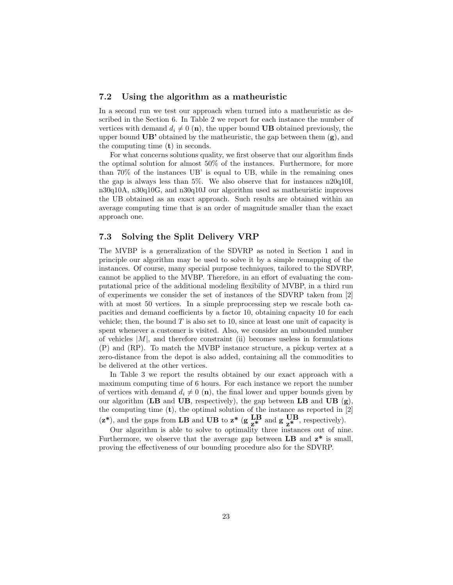#### 7.2 Using the algorithm as a matheuristic

In a second run we test our approach when turned into a matheuristic as described in the Section 6. In Table 2 we report for each instance the number of vertices with demand  $d_i \neq 0$  (n), the upper bound UB obtained previously, the upper bound  $UB'$  obtained by the matheuristic, the gap between them  $(g)$ , and the computing time (t) in seconds.

For what concerns solutions quality, we first observe that our algorithm finds the optimal solution for almost 50% of the instances. Furthermore, for more than 70% of the instances UB' is equal to UB, while in the remaining ones the gap is always less than 5%. We also observe that for instances n20q10I, n30q10A, n30q10G, and n30q10J our algorithm used as matheuristic improves the UB obtained as an exact approach. Such results are obtained within an average computing time that is an order of magnitude smaller than the exact approach one.

### 7.3 Solving the Split Delivery VRP

The MVBP is a generalization of the SDVRP as noted in Section 1 and in principle our algorithm may be used to solve it by a simple remapping of the instances. Of course, many special purpose techniques, tailored to the SDVRP, cannot be applied to the MVBP. Therefore, in an effort of evaluating the computational price of the additional modeling flexibility of MVBP, in a third run of experiments we consider the set of instances of the SDVRP taken from [2] with at most 50 vertices. In a simple preprocessing step we rescale both capacities and demand coefficients by a factor 10, obtaining capacity 10 for each vehicle; then, the bound  $T$  is also set to 10, since at least one unit of capacity is spent whenever a customer is visited. Also, we consider an unbounded number of vehicles  $|M|$ , and therefore constraint (ii) becomes useless in formulations (P) and (RP). To match the MVBP instance structure, a pickup vertex at a zero-distance from the depot is also added, containing all the commodities to be delivered at the other vertices.

In Table 3 we report the results obtained by our exact approach with a maximum computing time of 6 hours. For each instance we report the number of vertices with demand  $d_i \neq 0$  (n), the final lower and upper bounds given by our algorithm ( $LB$  and  $UB$ , respectively), the gap between  $LB$  and  $UB$  (g), the computing time  $(t)$ , the optimal solution of the instance as reported in  $[2]$  $(z^*)$ , and the gaps from LB and UB to  $z^*$  (g  $\text{LB}$  and g  $\text{UB}$ , respectively).

Our algorithm is able to solve to optimality three instances out of nine. Furthermore, we observe that the average gap between  $LB$  and  $z^*$  is small, proving the effectiveness of our bounding procedure also for the SDVRP.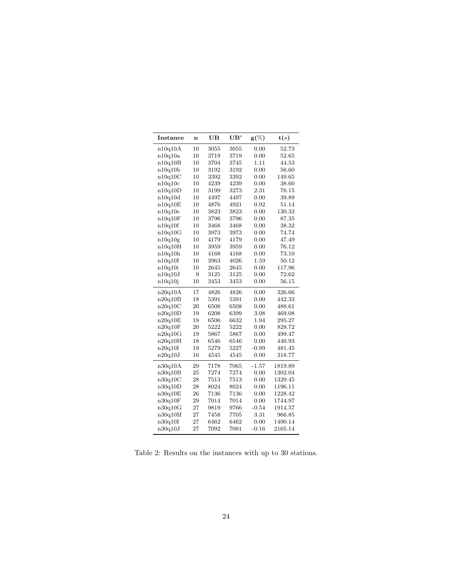| Instance | $\mathbf n$ | UB       | UB'  | $g(\%)$ | $\mathbf{t}(s)$ |
|----------|-------------|----------|------|---------|-----------------|
| n10q10A  | 10          | $3055\,$ | 3055 | 0.00    | 52.73           |
| n10q10a  | 10          | 3719     | 3719 | 0.00    | 52.65           |
| n10q10B  | 10          | 3704     | 3745 | 1.11    | 44.53           |
| n10q10b  | 10          | 3192     | 3192 | 0.00    | 56.60           |
| n10q10C  | 10          | 3392     | 3392 | 0.00    | 149.65          |
| n10q10c  | 10          | 4239     | 4239 | 0.00    | 38.60           |
| n10q10D  | 10          | 3199     | 3273 | 2.31    | 76.15           |
| n10q10d  | 10          | 4497     | 4497 | 0.00    | 39.89           |
| n10q10E  | 10          | 4876     | 4921 | 0.92    | 51.14           |
| n10q10e  | 10          | 3823     | 3823 | 0.00    | 130.33          |
| n10q10F  | 10          | 3796     | 3796 | 0.00    | 87.35           |
| n10q10f  | 10          | 3468     | 3468 | 0.00    | 38.32           |
| n10q10G  | 10          | 3973     | 3973 | 0.00    | 74.74           |
| n10q10g  | 10          | 4179     | 4179 | 0.00    | 47.49           |
| n10q10H  | 10          | 3959     | 3959 | 0.00    | 76.12           |
| n10q10h  | 10          | 4168     | 4168 | 0.00    | 73.10           |
| n10q10I  | 10          | 3963     | 4026 | 1.59    | 50.12           |
| n10q10i  | 10          | 2645     | 2645 | 0.00    | 117.96          |
| n10q10J  | 9           | 3125     | 3125 | 0.00    | 72.62           |
| n10q10j  | 10          | 3453     | 3453 | 0.00    | 56.15           |
| n20q10A  | 17          | 4826     | 4826 | 0.00    | 326.66          |
| n20q10B  | 18          | 5391     | 5391 | 0.00    | 442.33          |
| n20q10C  | 20          | 6508     | 6508 | 0.00    | 488.61          |
| n20q10D  | 19          | 6208     | 6399 | 3.08    | 469.08          |
| n20q10E  | 18          | 6506     | 6632 | 1.94    | 295.27          |
| n20q10F  | 20          | 5222     | 5222 | 0.00    | 828.72          |
| n20q10G  | 19          | 5867     | 5867 | 0.00    | 499.47          |
| n20q10H  | 18          | 6546     | 6546 | 0.00    | 440.93          |
| n20q10I  | 19          | 5279     | 5227 | $-0.99$ | 481.45          |
| n20q10J  | 16          | 4545     | 4545 | 0.00    | 318.77          |
| n30q10A  | 29          | 7178     | 7065 | $-1.57$ | 1819.89         |
| n30q10B  | 25          | 7274     | 7274 | 0.00    | 1302.04         |
| n30q10C  | 28          | 7513     | 7513 | 0.00    | 1329.45         |
| n30q10D  | 28          | 8024     | 8024 | 0.00    | 1196.11         |
| n30q10E  | 26          | 7136     | 7136 | 0.00    | 1228.42         |
| n30q10F  | 29          | 7014     | 7014 | 0.00    | 1744.97         |
| n30q10G  | 27          | 9819     | 9766 | $-0.54$ | 1914.57         |
| n30q10H  | 27          | 7458     | 7705 | 3.31    | 966.85          |
| n30q10I  | 27          | 6462     | 6462 | 0.00    | 1490.14         |
| n30q10J  | 27          | 7092     | 7081 | $-0.16$ | 2165.14         |

Table 2: Results on the instances with up to 30 stations.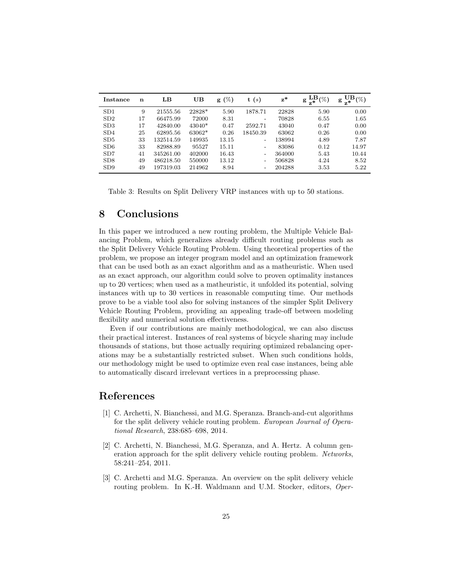| Instance        | n  | LB        | UB       | $g(\%)$ | (s)<br>t                 | $z^*$  | LВ<br>(%)<br>$g_{\overline{z}}$ . | UВ<br>$(\%)$<br>g |
|-----------------|----|-----------|----------|---------|--------------------------|--------|-----------------------------------|-------------------|
| SD <sub>1</sub> | 9  | 21555.56  | 22828*   | 5.90    | 1878.71                  | 22828  | 5.90                              | 0.00              |
| SD2             | 17 | 66475.99  | 72000    | 8.31    | $\overline{\phantom{0}}$ | 70828  | 6.55                              | 1.65              |
| SD3             | 17 | 42840.00  | $43040*$ | 0.47    | 2592.71                  | 43040  | 0.47                              | 0.00              |
| SD4             | 25 | 62895.56  | 63062*   | 0.26    | 18450.39                 | 63062  | 0.26                              | 0.00              |
| SD5             | 33 | 132514.59 | 149935   | 13.15   | -                        | 138994 | 4.89                              | 7.87              |
| SD6             | 33 | 82988.89  | 95527    | 15.11   |                          | 83086  | 0.12                              | 14.97             |
| SD <sub>7</sub> | 41 | 345261.00 | 402000   | 16.43   | -                        | 364000 | 5.43                              | 10.44             |
| SD8             | 49 | 486218.50 | 550000   | 13.12   | -                        | 506828 | 4.24                              | 8.52              |
| SD9             | 49 | 197319.03 | 214962   | 8.94    |                          | 204288 | 3.53                              | 5.22              |

Table 3: Results on Split Delivery VRP instances with up to 50 stations.

### 8 Conclusions

In this paper we introduced a new routing problem, the Multiple Vehicle Balancing Problem, which generalizes already difficult routing problems such as the Split Delivery Vehicle Routing Problem. Using theoretical properties of the problem, we propose an integer program model and an optimization framework that can be used both as an exact algorithm and as a matheuristic. When used as an exact approach, our algorithm could solve to proven optimality instances up to 20 vertices; when used as a matheuristic, it unfolded its potential, solving instances with up to 30 vertices in reasonable computing time. Our methods prove to be a viable tool also for solving instances of the simpler Split Delivery Vehicle Routing Problem, providing an appealing trade-off between modeling flexibility and numerical solution effectiveness.

Even if our contributions are mainly methodological, we can also discuss their practical interest. Instances of real systems of bicycle sharing may include thousands of stations, but those actually requiring optimized rebalancing operations may be a substantially restricted subset. When such conditions holds, our methodology might be used to optimize even real case instances, being able to automatically discard irrelevant vertices in a preprocessing phase.

### References

- [1] C. Archetti, N. Bianchessi, and M.G. Speranza. Branch-and-cut algorithms for the split delivery vehicle routing problem. European Journal of Operational Research, 238:685–698, 2014.
- [2] C. Archetti, N. Bianchessi, M.G. Speranza, and A. Hertz. A column generation approach for the split delivery vehicle routing problem. Networks, 58:241–254, 2011.
- [3] C. Archetti and M.G. Speranza. An overview on the split delivery vehicle routing problem. In K.-H. Waldmann and U.M. Stocker, editors, Oper-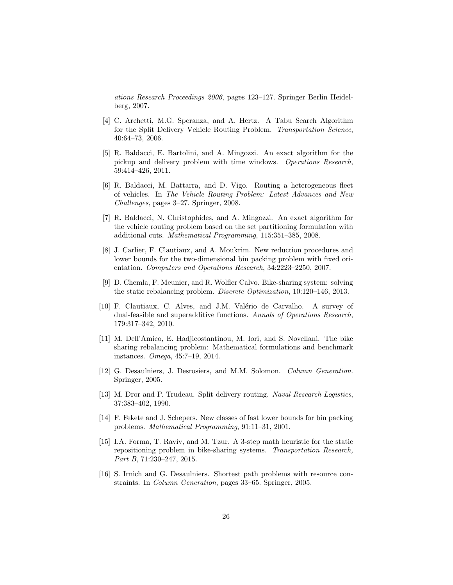ations Research Proceedings 2006, pages 123–127. Springer Berlin Heidelberg, 2007.

- [4] C. Archetti, M.G. Speranza, and A. Hertz. A Tabu Search Algorithm for the Split Delivery Vehicle Routing Problem. Transportation Science, 40:64–73, 2006.
- [5] R. Baldacci, E. Bartolini, and A. Mingozzi. An exact algorithm for the pickup and delivery problem with time windows. Operations Research, 59:414–426, 2011.
- [6] R. Baldacci, M. Battarra, and D. Vigo. Routing a heterogeneous fleet of vehicles. In The Vehicle Routing Problem: Latest Advances and New Challenges, pages 3–27. Springer, 2008.
- [7] R. Baldacci, N. Christophides, and A. Mingozzi. An exact algorithm for the vehicle routing problem based on the set partitioning formulation with additional cuts. Mathematical Programming, 115:351–385, 2008.
- [8] J. Carlier, F. Clautiaux, and A. Moukrim. New reduction procedures and lower bounds for the two-dimensional bin packing problem with fixed orientation. Computers and Operations Research, 34:2223–2250, 2007.
- [9] D. Chemla, F. Meunier, and R. Wolfler Calvo. Bike-sharing system: solving the static rebalancing problem. Discrete Optimization, 10:120–146, 2013.
- [10] F. Clautiaux, C. Alves, and J.M. Val´erio de Carvalho. A survey of dual-feasible and superadditive functions. Annals of Operations Research, 179:317–342, 2010.
- [11] M. Dell'Amico, E. Hadjicostantinou, M. Iori, and S. Novellani. The bike sharing rebalancing problem: Mathematical formulations and benchmark instances. Omega, 45:7–19, 2014.
- [12] G. Desaulniers, J. Desrosiers, and M.M. Solomon. Column Generation. Springer, 2005.
- [13] M. Dror and P. Trudeau. Split delivery routing. Naval Research Logistics, 37:383–402, 1990.
- [14] F. Fekete and J. Schepers. New classes of fast lower bounds for bin packing problems. Mathematical Programming, 91:11–31, 2001.
- [15] I.A. Forma, T. Raviv, and M. Tzur. A 3-step math heuristic for the static repositioning problem in bike-sharing systems. Transportation Research, Part B, 71:230-247, 2015.
- [16] S. Irnich and G. Desaulniers. Shortest path problems with resource constraints. In Column Generation, pages 33–65. Springer, 2005.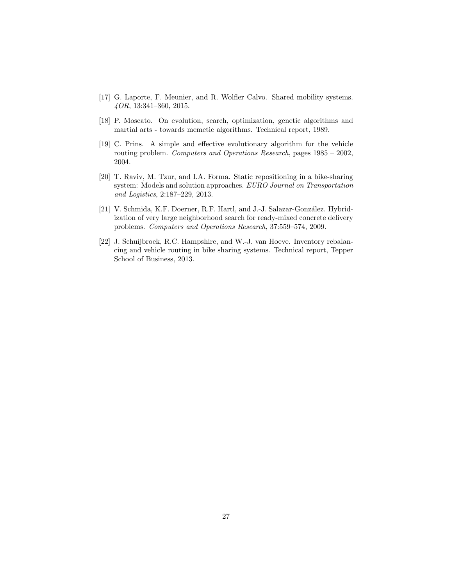- [17] G. Laporte, F. Meunier, and R. Wolfler Calvo. Shared mobility systems. 4OR, 13:341–360, 2015.
- [18] P. Moscato. On evolution, search, optimization, genetic algorithms and martial arts - towards memetic algorithms. Technical report, 1989.
- [19] C. Prins. A simple and effective evolutionary algorithm for the vehicle routing problem. Computers and Operations Research, pages 1985 – 2002, 2004.
- [20] T. Raviv, M. Tzur, and I.A. Forma. Static repositioning in a bike-sharing system: Models and solution approaches. EURO Journal on Transportation and Logistics, 2:187–229, 2013.
- [21] V. Schmida, K.F. Doerner, R.F. Hartl, and J.-J. Salazar-González. Hybridization of very large neighborhood search for ready-mixed concrete delivery problems. Computers and Operations Research, 37:559–574, 2009.
- [22] J. Schuijbroek, R.C. Hampshire, and W.-J. van Hoeve. Inventory rebalancing and vehicle routing in bike sharing systems. Technical report, Tepper School of Business, 2013.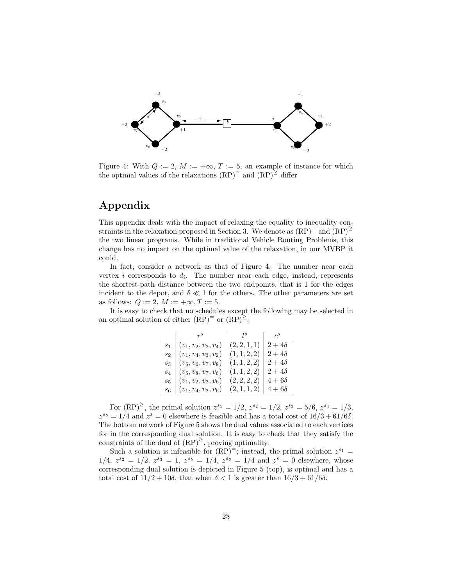

Figure 4: With  $Q := 2$ ,  $M := +\infty$ ,  $T := 5$ , an example of instance for which the optimal values of the relaxations  $(RP)^{=}$  and  $(RP)^{\geq}$  differ

## Appendix

This appendix deals with the impact of relaxing the equality to inequality constraints in the relaxation proposed in Section 3. We denote as  $(RP)^{=}$  and  $(RP)^{\ge}$ the two linear programs. While in traditional Vehicle Routing Problems, this change has no impact on the optimal value of the relaxation, in our MVBP it could.

In fact, consider a network as that of Figure 4. The number near each vertex *i* corresponds to  $d_i$ . The number near each edge, instead, represents the shortest-path distance between the two endpoints, that is 1 for the edges incident to the depot, and  $\delta \ll 1$  for the others. The other parameters are set as follows:  $Q := 2$ ,  $M := +\infty$ ,  $T := 5$ .

It is easy to check that no schedules except the following may be selected in an optimal solution of either  $(RP)^{=}$  or  $(RP)^{\geq}$ .

|                 | $r^s$                  |              | $\mathcal{C}^S$ |
|-----------------|------------------------|--------------|-----------------|
| $\mathcal{S}_1$ | $(v_1, v_2, v_3, v_4)$ | (2, 2, 1, 1) | $2+4\delta$     |
| $s_2$           | $(v_1, v_4, v_3, v_2)$ | (1, 1, 2, 2) | $2+4\delta$     |
| $s_3$           | $(v_5, v_6, v_7, v_8)$ | (1, 1, 2, 2) | $2+4\delta$     |
| $S_4$           | $(v_5, v_8, v_7, v_6)$ | (1, 1, 2, 2) | $2+4\delta$     |
| $s_{5}$         | $(v_1, v_2, v_3, v_6)$ | (2, 2, 2, 2) | $4+6\delta$     |
| $s_{6}$         | $(v_1, v_4, v_3, v_6)$ | (2,1,1,2)    | $4+6\delta$     |

For  $(RP)^{\geq}$ , the primal solution  $z^{s_1} = 1/2$ ,  $z^{s_2} = 1/2$ ,  $z^{s_3} = 5/6$ ,  $z^{s_4} = 1/3$ ,  $z^{s_5} = 1/4$  and  $z^s = 0$  elsewhere is feasible and has a total cost of  $16/3 + 61/6\delta$ . The bottom network of Figure 5 shows the dual values associated to each vertices for in the corresponding dual solution. It is easy to check that they satisfy the constraints of the dual of  $(RP)^2$ , proving optimality.

Such a solution is infeasible for  $(RP)^{=}$ ; instead, the primal solution  $z^{s_1}$  =  $1/4, z^{s_2} = 1/2, z^{s_3} = 1, z^{s_5} = 1/4, z^{s_6} = 1/4$  and  $z^s = 0$  elsewhere, whose corresponding dual solution is depicted in Figure 5 (top), is optimal and has a total cost of  $11/2 + 10\delta$ , that when  $\delta < 1$  is greater than  $16/3 + 61/6\delta$ .